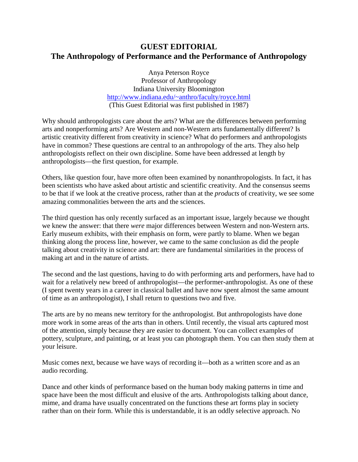## **GUEST EDITORIAL The Anthropology of Performance and the Performance of Anthropology**

Anya Peterson Royce Professor of Anthropology Indiana University Bloomington http://www.indiana.edu/~anthro/faculty/royce.html (This Guest Editorial was first published in 1987)

Why should anthropologists care about the arts? What are the differences between performing arts and nonperforming arts? Are Western and non-Western arts fundamentally different? Is artistic creativity different from creativity in science? What do performers and anthropologists have in common? These questions are central to an anthropology of the arts. They also help anthropologists reflect on their own discipline. Some have been addressed at length by anthropologists—the first question, for example.

Others, like question four, have more often been examined by nonanthropologists. In fact, it has been scientists who have asked about artistic and scientific creativity. And the consensus seems to be that if we look at the creative process, rather than at the *products* of creativity, we see some amazing commonalities between the arts and the sciences.

The third question has only recently surfaced as an important issue, largely because we thought we knew the answer: that there *were* major differences between Western and non-Western arts. Early museum exhibits, with their emphasis on form, were partly to blame. When we began thinking along the process line, however, we came to the same conclusion as did the people talking about creativity in science and art: there are fundamental similarities in the process of making art and in the nature of artists.

The second and the last questions, having to do with performing arts and performers, have had to wait for a relatively new breed of anthropologist—the performer-anthropologist. As one of these (I spent twenty years in a career in classical ballet and have now spent almost the same amount of time as an anthropologist), I shall return to questions two and five.

The arts are by no means new territory for the anthropologist. But anthropologists have done more work in some areas of the arts than in others. Until recently, the visual arts captured most of the attention, simply because they are easier to document. You can collect examples of pottery, sculpture, and painting, or at least you can photograph them. You can then study them at your leisure.

Music comes next, because we have ways of recording it—both as a written score and as an audio recording.

Dance and other kinds of performance based on the human body making patterns in time and space have been the most difficult and elusive of the arts. Anthropologists talking about dance, mime, and drama have usually concentrated on the functions these art forms play in society rather than on their form. While this is understandable, it is an oddly selective approach. No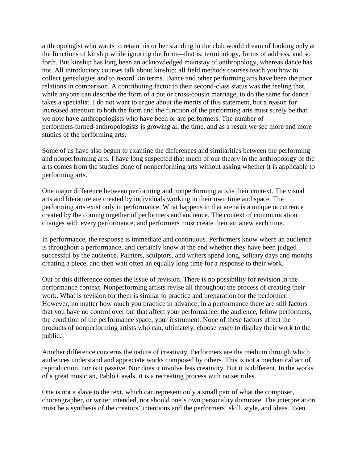anthropologist who wants to retain his or her standing in the club would dream of looking only at the functions of kinship while ignoring the form—that is, terminology, forms of address, and so forth. But kinship has long been an acknowledged mainstay of anthropology, whereas dance has not. All introductory courses talk about kinship; all field methods courses teach you how to collect genealogies and to record kin terms. Dance and other performing arts have been the poor relations in comparison. A contributing factor to their second-class status was the feeling that, while anyone can describe the form of a pot or cross-cousin marriage, to do the same for dance takes a specialist. I do not want to argue about the merits of this statement, but a reason for increased attention to both the form and the function of the performing arts must surely be that we now have anthropologists who have been or are performers. The number of performers-turned-anthropologists is growing all the time, and as a result we see more and more studies of the performing arts.

Some of us have also begun to examine the differences and similarities between the performing and nonperforming arts. I have long suspected that much of our theory in the anthropology of the arts comes from the studies done of nonperforming arts without asking whether it is applicable to performing arts.

One major difference between performing and nonperforming arts is their context. The visual arts and literature are created by individuals working in their own time and space. The performing arts exist only in performance. What happens in that arena is a unique occurrence created by the coming together of performers and audience. The context of communication changes with every performance, and performers must create their art anew each time.

In performance, the response is immediate and continuous. Performers know where an audience is throughout a performance, and certainly know at the end whether they have been judged successful by the audience. Painters, sculptors, and writers spend long, solitary days and months creating a piece, and then wait often an equally long time for a response to their work.

Out of this difference comes the issue of revision. There is no possibility for revision in the performance context. Nonperforming artists revise all throughout the process of creating their work. What is revision for them is similar to practice and preparation for the performer. However, no matter how much you practice in advance, in a performance there are still factors that you have no control over but that affect your performance: the audience, fellow performers, the condition of the performance space, your instrument. None of these factors affect the products of nonperforming artists who can, ultimately, choose *when* to display their work to the public.

Another difference concerns the nature of creativity. Performers are the medium through which audiences understand and appreciate works composed by others. This is not a mechanical act of reproduction, nor is it passive. Nor does it involve less creativity. But it is different. In the works of a great musician, Pablo Casals, it is a recreating process with no set rules.

One is not a slave to the text, which can represent only a small part of what the composer, choreographer, or writer intended, nor should one's own personality dominate. The interpretation must be a synthesis of the creators' intentions and the performers' skill, style, and ideas. Even